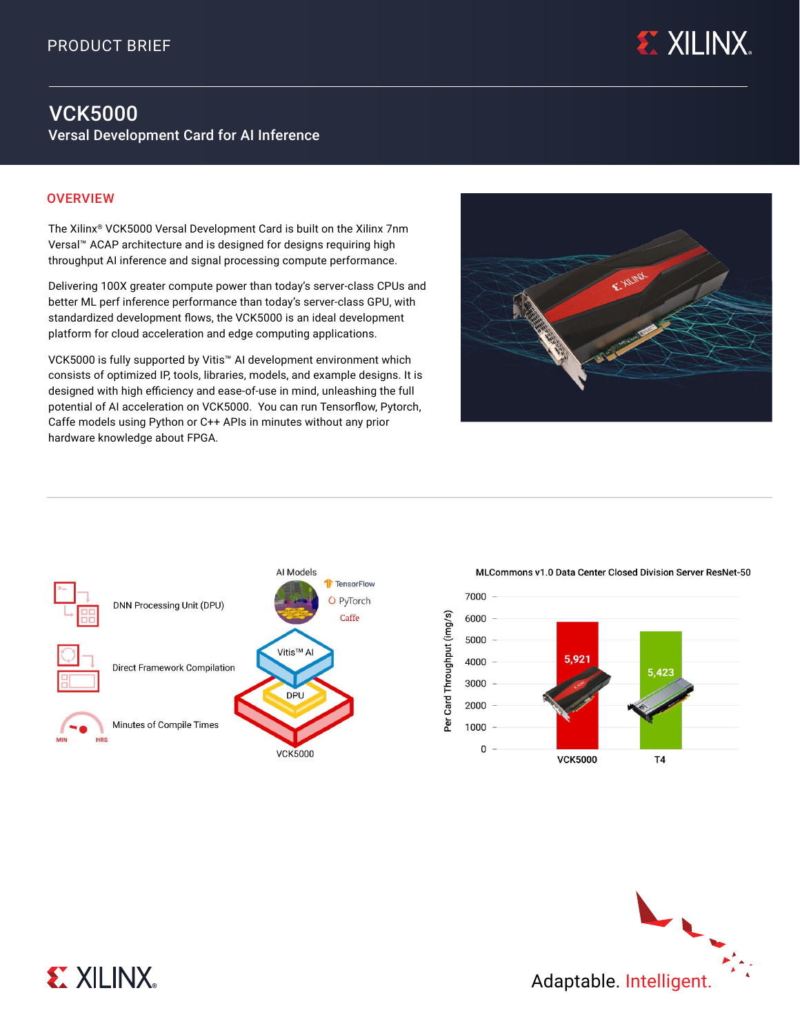

# VCK5000 Versal Development Card for AI Inference

### **OVERVIEW**

The Xilinx® VCK5000 Versal Development Card is built on the Xilinx 7nm Versal™ ACAP architecture and is designed for designs requiring high throughput AI inference and signal processing compute performance.

Delivering 100X greater compute power than today's server-class CPUs and better ML perf inference performance than today's server-class GPU, with standardized development flows, the VCK5000 is an ideal development platform for cloud acceleration and edge computing applications.

VCK5000 is fully supported by Vitis™ AI development environment which consists of optimized IP, tools, libraries, models, and example designs. It is designed with high efficiency and ease-of-use in mind, unleashing the full potential of AI acceleration on VCK5000. You can run Tensorflow, Pytorch, Caffe models using Python or C++ APIs in minutes without any prior hardware knowledge about FPGA.





MLCommons v1.0 Data Center Closed Division Server ResNet-50